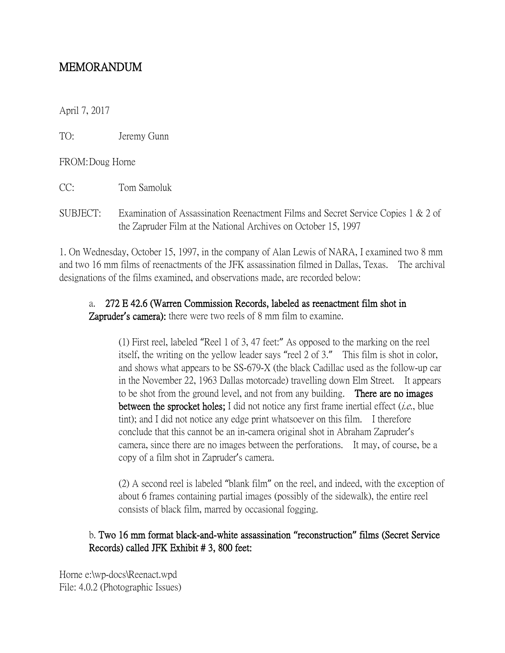## MEMORANDUM

April 7, 2017

TO: Jeremy Gunn

FROM:Doug Horne

CC: Tom Samoluk

SUBJECT: Examination of Assassination Reenactment Films and Secret Service Copies 1 & 2 of the Zapruder Film at the National Archives on October 15, 1997

1. On Wednesday, October 15, 1997, in the company of Alan Lewis of NARA, I examined two 8 mm and two 16 mm films of reenactments of the JFK assassination filmed in Dallas, Texas. The archival designations of the films examined, and observations made, are recorded below:

## a. 272 E 42.6 (Warren Commission Records, labeled as reenactment film shot in

Zapruder**'**s camera): there were two reels of 8 mm film to examine.

(1) First reel, labeled "Reel 1 of 3, 47 feet:" As opposed to the marking on the reel itself, the writing on the yellow leader says "reel 2 of 3." This film is shot in color, and shows what appears to be SS-679-X (the black Cadillac used as the follow-up car in the November 22, 1963 Dallas motorcade) travelling down Elm Street. It appears to be shot from the ground level, and not from any building. **There are no images** between the sprocket holes; I did not notice any first frame inertial effect  $(i.e.,$  blue tint); and I did not notice any edge print whatsoever on this film. I therefore conclude that this cannot be an in-camera original shot in Abraham Zapruder's camera, since there are no images between the perforations. It may, of course, be a copy of a film shot in Zapruder's camera.

(2) A second reel is labeled "blank film" on the reel, and indeed, with the exception of about 6 frames containing partial images (possibly of the sidewalk), the entire reel consists of black film, marred by occasional fogging.

## b. Two 16 mm format black-and-white assassination **"**reconstruction**"** films (Secret Service Records) called JFK Exhibit # 3, 800 feet:

Horne e:\wp-docs\Reenact.wpd File: 4.0.2 (Photographic Issues)